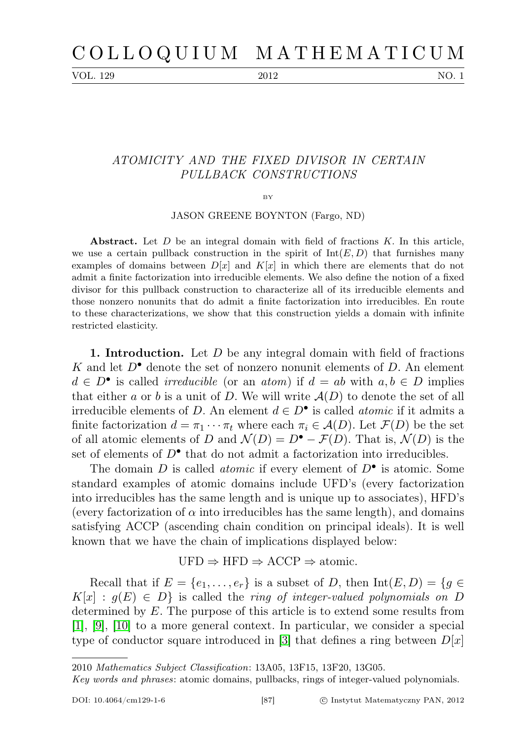VOL. 129 2012 NO. 1

## ATOMICITY AND THE FIXED DIVISOR IN CERTAIN PULLBACK CONSTRUCTIONS

BY

JASON GREENE BOYNTON (Fargo, ND)

Abstract. Let  $D$  be an integral domain with field of fractions  $K$ . In this article, we use a certain pullback construction in the spirit of  $Int(E, D)$  that furnishes many examples of domains between  $D[x]$  and  $K[x]$  in which there are elements that do not admit a finite factorization into irreducible elements. We also define the notion of a fixed divisor for this pullback construction to characterize all of its irreducible elements and those nonzero nonunits that do admit a finite factorization into irreducibles. En route to these characterizations, we show that this construction yields a domain with infinite restricted elasticity.

**1. Introduction.** Let  $D$  be any integral domain with field of fractions K and let  $D^{\bullet}$  denote the set of nonzero nonunit elements of D. An element  $d \in D^{\bullet}$  is called *irreducible* (or an *atom*) if  $d = ab$  with  $a, b \in D$  implies that either a or b is a unit of D. We will write  $A(D)$  to denote the set of all irreducible elements of D. An element  $d \in D^{\bullet}$  is called *atomic* if it admits a finite factorization  $d = \pi_1 \cdots \pi_t$  where each  $\pi_i \in \mathcal{A}(D)$ . Let  $\mathcal{F}(D)$  be the set of all atomic elements of D and  $\mathcal{N}(D) = D^{\bullet} - \mathcal{F}(D)$ . That is,  $\mathcal{N}(D)$  is the set of elements of  $D^{\bullet}$  that do not admit a factorization into irreducibles.

The domain  $D$  is called *atomic* if every element of  $D^{\bullet}$  is atomic. Some standard examples of atomic domains include UFD's (every factorization into irreducibles has the same length and is unique up to associates), HFD's (every factorization of  $\alpha$  into irreducibles has the same length), and domains satisfying ACCP (ascending chain condition on principal ideals). It is well known that we have the chain of implications displayed below:

## $\text{UFD} \Rightarrow \text{HFD} \Rightarrow \text{ACCP} \Rightarrow \text{atomic}.$

Recall that if  $E = \{e_1, \ldots, e_r\}$  is a subset of D, then  $Int(E, D) = \{g \in$  $K[x] : g(E) \in D$  is called the ring of integer-valued polynomials on D determined by E. The purpose of this article is to extend some results from [\[1\]](#page-9-0), [\[9\]](#page-10-0), [\[10\]](#page-10-1) to a more general context. In particular, we consider a special type of conductor square introduced in [\[3\]](#page-9-1) that defines a ring between  $D[x]$ 

<sup>2010</sup> Mathematics Subject Classification: 13A05, 13F15, 13F20, 13G05.

Key words and phrases: atomic domains, pullbacks, rings of integer-valued polynomials.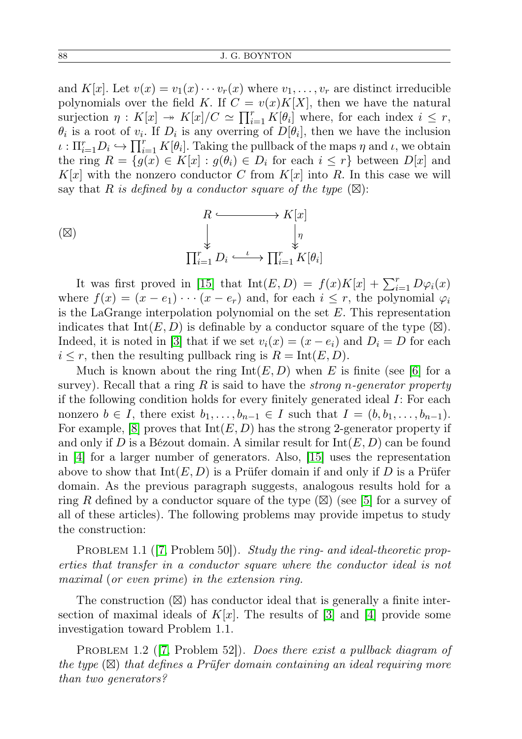and  $K[x]$ . Let  $v(x) = v_1(x) \cdots v_r(x)$  where  $v_1, \ldots, v_r$  are distinct irreducible polynomials over the field K. If  $C = v(x)K[X]$ , then we have the natural surjection  $\eta: K[x] \twoheadrightarrow K[x]/C \simeq \prod_{i=1}^r K[\theta_i]$  where, for each index  $i \leq r$ ,  $\theta_i$  is a root of  $v_i$ . If  $D_i$  is any overring of  $D[\theta_i]$ , then we have the inclusion  $\iota: \Pi_{i=1}^r D_i \hookrightarrow \prod_{i=1}^r K[\theta_i].$  Taking the pullback of the maps  $\eta$  and  $\iota$ , we obtain the ring  $R = \{g(x) \in K[x] : g(\theta_i) \in D_i \text{ for each } i \leq r\}$  between  $D[x]$  and  $K[x]$  with the nonzero conductor C from  $K[x]$  into R. In this case we will say that R is defined by a conductor square of the type  $(\boxtimes)$ :

$$
(X)
$$
\n
$$
\begin{array}{ccc}\n & R & \xrightarrow{\hspace{1cm}} & K[x] \\
& \downarrow & & \downarrow \\
& \downarrow & & \downarrow \\
& \uparrow & & \downarrow \\
& \uparrow & & \downarrow \\
& \uparrow & & \downarrow \\
& \downarrow & & \downarrow \\
& \downarrow & & \downarrow \\
& \downarrow & & \downarrow \\
& \downarrow & & \downarrow \\
& \downarrow & & \downarrow \\
& \downarrow & & \downarrow \\
& \downarrow & & \downarrow \\
& \downarrow & & \downarrow \\
& \downarrow & & \downarrow \\
& \downarrow & & \downarrow \\
& \downarrow & & \downarrow \\
& \downarrow & & \downarrow \\
& \downarrow & & \downarrow \\
& \downarrow & & \downarrow \\
& \downarrow & & \downarrow \\
& \downarrow & & \downarrow \\
& \downarrow & & \downarrow \\
& \downarrow & & \downarrow \\
& \downarrow & & \downarrow \\
& \downarrow & & \downarrow \\
& \downarrow & & \downarrow \\
& \downarrow & & \downarrow \\
& \downarrow & & \downarrow \\
& \downarrow & & \downarrow \\
& \downarrow & & \downarrow \\
& \downarrow & & \downarrow \\
& \downarrow & & \downarrow \\
& \downarrow & & \downarrow \\
& \downarrow & & \downarrow \\
& \downarrow & & \downarrow \\
& \downarrow & & \downarrow \\
& \downarrow & & \downarrow \\
& \downarrow & & \downarrow \\
& \downarrow & & \downarrow \\
& \downarrow & & \downarrow \\
& \downarrow & & \downarrow \\
& \downarrow & & \downarrow \\
& \downarrow & & \downarrow \\
& \downarrow & & \downarrow \\
& \downarrow & & \downarrow \\
& \downarrow & & \downarrow \\
& \downarrow & & \downarrow \\
& \downarrow & & \downarrow \\
& \downarrow & & \downarrow \\
& \downarrow & & \downarrow \\
& \downarrow & & \downarrow \\
& \downarrow & & \downarrow \\
& \downarrow & & \downarrow \\
& \downarrow & & \downarrow \\
& \downarrow & & \downarrow \\
& \downarrow & & \downarrow \\
& \downarrow & & \downarrow \\
& \downarrow & & \downarrow \\
& \downarrow & & \downarrow \\
& \downarrow & & \downarrow \\
& \downarrow & & \downarrow \\
& \downarrow & & \downarrow \\
& \downarrow & & \downarrow \\
& \downarrow & & \downarrow \\
& \downarrow & & \downarrow \\
& \downarrow & & \downarrow \\
& \downarrow & & \downarrow \\
& \downarrow & & \downarrow \\
& \downarrow & & \downarrow \\
& \downarrow & & \downarrow \\
& \downarrow & & \downarrow \\
& \downarrow & & \downarrow \\
& \down
$$

It was first proved in [\[15\]](#page-10-2) that  $\text{Int}(E,D) = f(x)K[x] + \sum_{i=1}^{r} D\varphi_i(x)$ where  $f(x) = (x - e_1) \cdots (x - e_r)$  and, for each  $i \leq r$ , the polynomial  $\varphi_i$ is the LaGrange interpolation polynomial on the set  $E$ . This representation indicates that  $Int(E, D)$  is definable by a conductor square of the type  $(\boxtimes)$ . Indeed, it is noted in [\[3\]](#page-9-1) that if we set  $v_i(x) = (x - e_i)$  and  $D_i = D$  for each  $i \leq r$ , then the resulting pullback ring is  $R = \text{Int}(E, D)$ .

Much is known about the ring  $Int(E, D)$  when E is finite (see [\[6\]](#page-9-2) for a survey). Recall that a ring R is said to have the *strong n-generator property* if the following condition holds for every finitely generated ideal I: For each nonzero  $b \in I$ , there exist  $b_1, \ldots, b_{n-1} \in I$  such that  $I = (b, b_1, \ldots, b_{n-1})$ . For example, [\[8\]](#page-10-3) proves that  $Int(E, D)$  has the strong 2-generator property if and only if D is a Bézout domain. A similar result for  $Int(E, D)$  can be found in [\[4\]](#page-9-3) for a larger number of generators. Also, [\[15\]](#page-10-2) uses the representation above to show that  $Int(E, D)$  is a Prüfer domain if and only if D is a Prüfer domain. As the previous paragraph suggests, analogous results hold for a ring R defined by a conductor square of the type  $(\boxtimes)$  (see [\[5\]](#page-9-4) for a survey of all of these articles). The following problems may provide impetus to study the construction:

PROBLEM 1.1 ([\[7,](#page-9-5) Problem 50]). Study the ring- and ideal-theoretic properties that transfer in a conductor square where the conductor ideal is not maximal (or even prime) in the extension ring.

The construction  $(\boxtimes)$  has conductor ideal that is generally a finite intersection of maximal ideals of  $K[x]$ . The results of [\[3\]](#page-9-1) and [\[4\]](#page-9-3) provide some investigation toward Problem 1.1.

PROBLEM 1.2 ([\[7,](#page-9-5) Problem 52]). Does there exist a pullback diagram of the type  $(\boxtimes)$  that defines a Prüfer domain containing an ideal requiring more than two generators?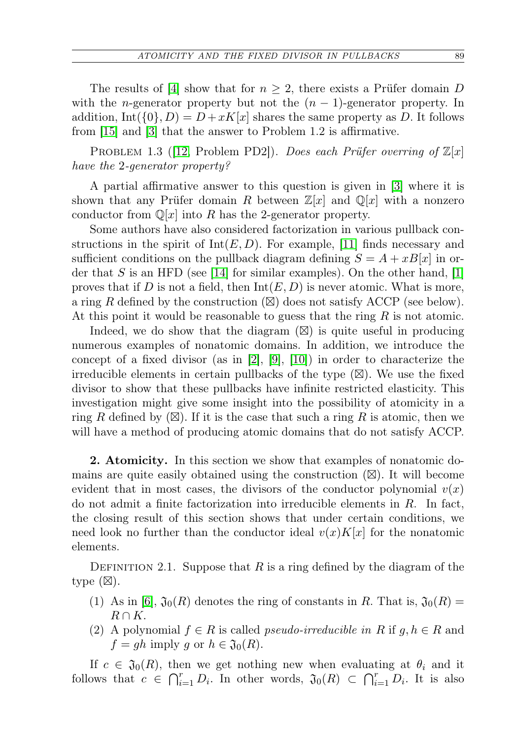The results of [\[4\]](#page-9-3) show that for  $n \geq 2$ , there exists a Prüfer domain D with the *n*-generator property but not the  $(n-1)$ -generator property. In addition,  $\text{Int}(\{0\},D)=D+xK[x]$  shares the same property as D. It follows from [\[15\]](#page-10-2) and [\[3\]](#page-9-1) that the answer to Problem 1.2 is affirmative.

PROBLEM 1.3 (12, Problem PD2). Does each Prüfer overring of  $\mathbb{Z}[x]$ have the 2-generator property?

A partial affirmative answer to this question is given in [\[3\]](#page-9-1) where it is shown that any Prüfer domain R between  $\mathbb{Z}[x]$  and  $\mathbb{Q}[x]$  with a nonzero conductor from  $\mathbb{Q}[x]$  into R has the 2-generator property.

Some authors have also considered factorization in various pullback constructions in the spirit of  $Int(E, D)$ . For example, [\[11\]](#page-10-5) finds necessary and sufficient conditions on the pullback diagram defining  $S = A + xB[x]$  in or-der that S is an HFD (see [\[14\]](#page-10-6) for similar examples). On the other hand, [\[1\]](#page-9-0) proves that if D is not a field, then  $Int(E, D)$  is never atomic. What is more, a ring R defined by the construction  $(\boxtimes)$  does not satisfy ACCP (see below). At this point it would be reasonable to guess that the ring  $R$  is not atomic.

Indeed, we do show that the diagram  $(\boxtimes)$  is quite useful in producing numerous examples of nonatomic domains. In addition, we introduce the concept of a fixed divisor (as in [\[2\]](#page-9-6), [\[9\]](#page-10-0), [\[10\]](#page-10-1)) in order to characterize the irreducible elements in certain pullbacks of the type  $(\boxtimes)$ . We use the fixed divisor to show that these pullbacks have infinite restricted elasticity. This investigation might give some insight into the possibility of atomicity in a ring R defined by  $(\boxtimes)$ . If it is the case that such a ring R is atomic, then we will have a method of producing atomic domains that do not satisfy ACCP.

2. Atomicity. In this section we show that examples of nonatomic domains are quite easily obtained using the construction  $(\boxtimes)$ . It will become evident that in most cases, the divisors of the conductor polynomial  $v(x)$ do not admit a finite factorization into irreducible elements in  $R$ . In fact, the closing result of this section shows that under certain conditions, we need look no further than the conductor ideal  $v(x)K[x]$  for the nonatomic elements.

DEFINITION 2.1. Suppose that R is a ring defined by the diagram of the type  $(\boxtimes)$ .

- (1) As in [\[6\]](#page-9-2),  $\mathfrak{J}_0(R)$  denotes the ring of constants in R. That is,  $\mathfrak{J}_0(R)$  =  $R \cap K$ .
- (2) A polynomial  $f \in R$  is called *pseudo-irreducible in* R if  $g, h \in R$  and  $f = gh$  imply g or  $h \in \mathfrak{J}_0(R)$ .

If  $c \in \mathfrak{J}_0(R)$ , then we get nothing new when evaluating at  $\theta_i$  and it follows that  $c \in \bigcap_{i=1}^r D_i$ . In other words,  $\mathfrak{J}_0(R) \subset \bigcap_{i=1}^r D_i$ . It is also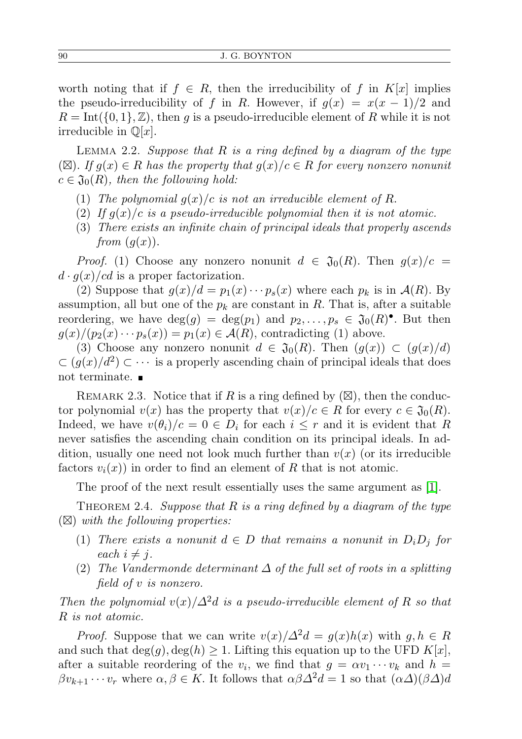worth noting that if  $f \in R$ , then the irreducibility of f in  $K[x]$  implies the pseudo-irreducibility of f in R. However, if  $q(x) = x(x - 1)/2$  and  $R = \text{Int}(\{0, 1\}, \mathbb{Z})$ , then g is a pseudo-irreducible element of R while it is not irreducible in  $\mathbb{Q}[x]$ .

LEMMA 2.2. Suppose that  $R$  is a ring defined by a diagram of the type  $(\boxtimes)$ . If  $g(x) \in R$  has the property that  $g(x)/c \in R$  for every nonzero nonunity  $c \in \mathfrak{J}_0(R)$ , then the following hold:

- (1) The polynomial  $g(x)/c$  is not an irreducible element of R.
- (2) If  $g(x)/c$  is a pseudo-irreducible polynomial then it is not atomic.
- (3) There exists an infinite chain of principal ideals that properly ascends from  $(q(x))$ .

*Proof.* (1) Choose any nonzero nonunit  $d \in \mathfrak{J}_0(R)$ . Then  $g(x)/c =$  $d \cdot g(x)/c d$  is a proper factorization.

(2) Suppose that  $g(x)/d = p_1(x) \cdots p_s(x)$  where each  $p_k$  is in  $\mathcal{A}(R)$ . By assumption, all but one of the  $p_k$  are constant in R. That is, after a suitable reordering, we have  $deg(g) = deg(p_1)$  and  $p_2, \ldots, p_s \in \mathfrak{J}_0(R)^{\bullet}$ . But then  $g(x)/(p_2(x)\cdots p_s(x)) = p_1(x) \in \mathcal{A}(R)$ , contradicting (1) above.

(3) Choose any nonzero nonunit  $d \in \mathfrak{J}_0(R)$ . Then  $(g(x)) \subset (g(x)/d)$  $\subset (g(x)/d^2) \subset \cdots$  is a properly ascending chain of principal ideals that does not terminate.

REMARK 2.3. Notice that if R is a ring defined by  $(\boxtimes)$ , then the conductor polynomial  $v(x)$  has the property that  $v(x)/c \in R$  for every  $c \in \mathfrak{J}_0(R)$ . Indeed, we have  $v(\theta_i)/c = 0 \in D_i$  for each  $i \leq r$  and it is evident that R never satisfies the ascending chain condition on its principal ideals. In addition, usually one need not look much further than  $v(x)$  (or its irreducible factors  $v_i(x)$  in order to find an element of R that is not atomic.

The proof of the next result essentially uses the same argument as [\[1\]](#page-9-0).

THEOREM 2.4. Suppose that  $R$  is a ring defined by a diagram of the type  $(\boxtimes)$  with the following properties:

- (1) There exists a nonunit  $d \in D$  that remains a nonunit in  $D_i D_j$  for each  $i \neq j$ .
- (2) The Vandermonde determinant  $\Delta$  of the full set of roots in a splitting field of v is nonzero.

Then the polynomial  $v(x)/\Delta^2 d$  is a pseudo-irreducible element of R so that R is not atomic.

*Proof.* Suppose that we can write  $v(x)/\Delta^2 d = q(x)h(x)$  with  $q, h \in R$ and such that  $\deg(q), \deg(h) \geq 1$ . Lifting this equation up to the UFD  $K[x]$ , after a suitable reordering of the  $v_i$ , we find that  $g = \alpha v_1 \cdots v_k$  and  $h =$  $\beta v_{k+1} \cdots v_r$  where  $\alpha, \beta \in K$ . It follows that  $\alpha \beta \Delta^2 d = 1$  so that  $(\alpha \Delta)(\beta \Delta) d$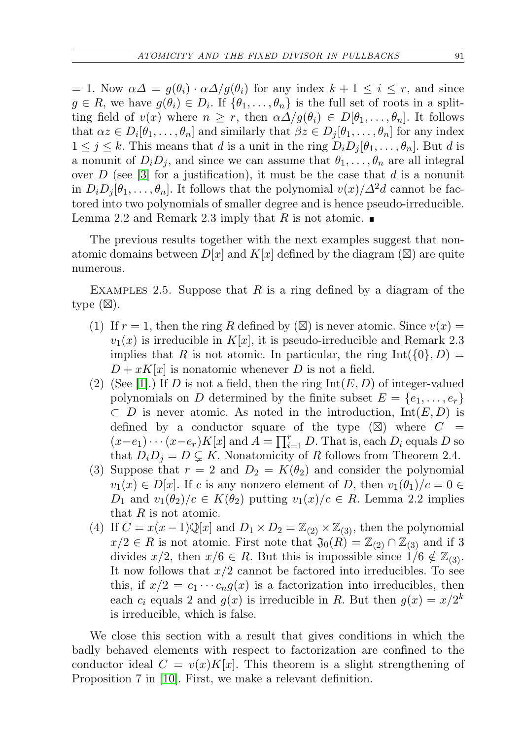$= 1.$  Now  $\alpha\Delta = q(\theta_i) \cdot \alpha\Delta/q(\theta_i)$  for any index  $k + 1 \leq i \leq r$ , and since  $g \in R$ , we have  $g(\theta_i) \in D_i$ . If  $\{\theta_1, \ldots, \theta_n\}$  is the full set of roots in a splitting field of  $v(x)$  where  $n \geq r$ , then  $\alpha \Delta / g(\theta_i) \in D[\theta_1, \ldots, \theta_n]$ . It follows that  $\alpha z \in D_i[\theta_1, \ldots, \theta_n]$  and similarly that  $\beta z \in D_j[\theta_1, \ldots, \theta_n]$  for any index  $1 \leq j \leq k$ . This means that d is a unit in the ring  $D_i D_j[\theta_1, \ldots, \theta_n]$ . But d is a nonunit of  $D_i D_j$ , and since we can assume that  $\theta_1, \ldots, \theta_n$  are all integral over D (see |3| for a justification), it must be the case that d is a nonunit in  $D_i D_j | \theta_1, \ldots, \theta_n$ . It follows that the polynomial  $v(x)/\Delta^2 d$  cannot be factored into two polynomials of smaller degree and is hence pseudo-irreducible. Lemma 2.2 and Remark 2.3 imply that R is not atomic.  $\blacksquare$ 

The previous results together with the next examples suggest that nonatomic domains between  $D[x]$  and  $K[x]$  defined by the diagram ( $\boxtimes$ ) are quite numerous.

EXAMPLES 2.5. Suppose that  $R$  is a ring defined by a diagram of the type  $(\boxtimes)$ .

- (1) If  $r = 1$ , then the ring R defined by  $(\boxtimes)$  is never atomic. Since  $v(x) =$  $v_1(x)$  is irreducible in  $K[x]$ , it is pseudo-irreducible and Remark 2.3 implies that R is not atomic. In particular, the ring  $Int({0}, D) =$  $D + xK[x]$  is nonatomic whenever D is not a field.
- (2) (See [\[1\]](#page-9-0).) If D is not a field, then the ring  $Int(E, D)$  of integer-valued polynomials on D determined by the finite subset  $E = \{e_1, \ldots, e_r\}$  $\subset D$  is never atomic. As noted in the introduction,  $Int(E, D)$  is defined by a conductor square of the type  $(\boxtimes)$  where  $C =$  $(x-e_1)\cdots(x-e_r)K[x]$  and  $A=\prod_{i=1}^r D$ . That is, each  $D_i$  equals D so that  $D_i D_j = D \subsetneq K$ . Nonatomicity of R follows from Theorem 2.4.
- (3) Suppose that  $r = 2$  and  $D_2 = K(\theta_2)$  and consider the polynomial  $v_1(x) \in D[x]$ . If c is any nonzero element of D, then  $v_1(\theta_1)/c = 0 \in$  $D_1$  and  $v_1(\theta_2)/c \in K(\theta_2)$  putting  $v_1(x)/c \in R$ . Lemma 2.2 implies that  $R$  is not atomic.
- (4) If  $C = x(x-1)\mathbb{Q}[x]$  and  $D_1 \times D_2 = \mathbb{Z}_{(2)} \times \mathbb{Z}_{(3)}$ , then the polynomial  $x/2 \in R$  is not atomic. First note that  $\mathfrak{J}_0(R) = \mathbb{Z}_{(2)} \cap \mathbb{Z}_{(3)}$  and if 3 divides  $x/2$ , then  $x/6 \in R$ . But this is impossible since  $1/6 \notin \mathbb{Z}_{(3)}$ . It now follows that  $x/2$  cannot be factored into irreducibles. To see this, if  $x/2 = c_1 \cdots c_n g(x)$  is a factorization into irreducibles, then each  $c_i$  equals 2 and  $g(x)$  is irreducible in R. But then  $g(x) = x/2^k$ is irreducible, which is false.

We close this section with a result that gives conditions in which the badly behaved elements with respect to factorization are confined to the conductor ideal  $C = v(x)K[x]$ . This theorem is a slight strengthening of Proposition 7 in [\[10\]](#page-10-1). First, we make a relevant definition.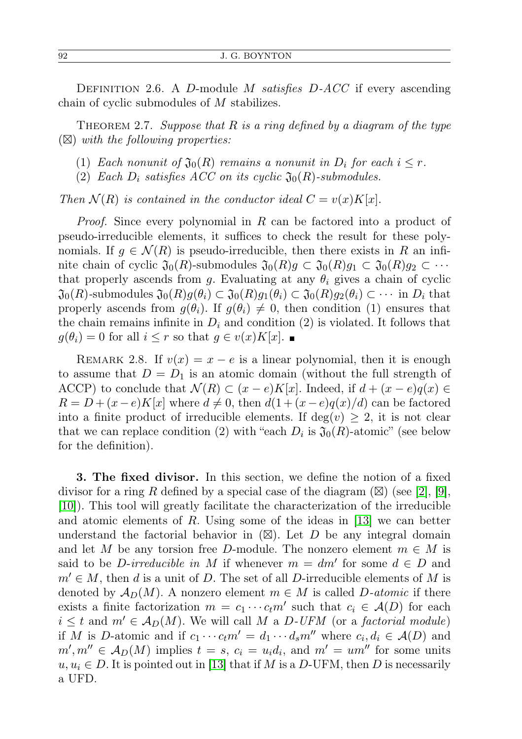DEFINITION 2.6. A D-module M satisfies  $D$ -ACC if every ascending chain of cyclic submodules of M stabilizes.

THEOREM 2.7. Suppose that  $R$  is a ring defined by a diagram of the type  $(\boxtimes)$  with the following properties:

- (1) Each nonunit of  $\mathfrak{J}_0(R)$  remains a nonunit in  $D_i$  for each  $i \leq r$ .
- (2) Each  $D_i$  satisfies ACC on its cyclic  $\mathfrak{J}_0(R)$ -submodules.

Then  $\mathcal{N}(R)$  is contained in the conductor ideal  $C = v(x)K[x]$ .

*Proof.* Since every polynomial in R can be factored into a product of pseudo-irreducible elements, it suffices to check the result for these polynomials. If  $g \in \mathcal{N}(R)$  is pseudo-irreducible, then there exists in R an infinite chain of cyclic  $\mathfrak{J}_0(R)$ -submodules  $\mathfrak{J}_0(R)g \subset \mathfrak{J}_0(R)g_1 \subset \mathfrak{J}_0(R)g_2 \subset \cdots$ that properly ascends from g. Evaluating at any  $\theta_i$  gives a chain of cyclic  $\mathfrak{J}_0(R)$ -submodules  $\mathfrak{J}_0(R)g(\theta_i) \subset \mathfrak{J}_0(R)g_1(\theta_i) \subset \mathfrak{J}_0(R)g_2(\theta_i) \subset \cdots$  in  $D_i$  that properly ascends from  $g(\theta_i)$ . If  $g(\theta_i) \neq 0$ , then condition (1) ensures that the chain remains infinite in  $D_i$  and condition (2) is violated. It follows that  $g(\theta_i) = 0$  for all  $i \leq r$  so that  $g \in v(x)K[x]$ .

REMARK 2.8. If  $v(x) = x - e$  is a linear polynomial, then it is enough to assume that  $D = D_1$  is an atomic domain (without the full strength of ACCP) to conclude that  $\mathcal{N}(R) \subset (x-e)K[x]$ . Indeed, if  $d + (x-e)q(x) \in$  $R = D + (x-e)K[x]$  where  $d \neq 0$ , then  $d(1 + (x-e)q(x)/d)$  can be factored into a finite product of irreducible elements. If  $deg(v) \geq 2$ , it is not clear that we can replace condition (2) with "each  $D_i$  is  $\mathfrak{J}_0(R)$ -atomic" (see below for the definition).

3. The fixed divisor. In this section, we define the notion of a fixed divisor for a ring R defined by a special case of the diagram  $(\boxtimes)$  (see [\[2\]](#page-9-6), [\[9\]](#page-10-0), [\[10\]](#page-10-1)). This tool will greatly facilitate the characterization of the irreducible and atomic elements of R. Using some of the ideas in  $|13|$  we can better understand the factorial behavior in  $(\boxtimes)$ . Let D be any integral domain and let M be any torsion free D-module. The nonzero element  $m \in M$  is said to be *D*-irreducible in M if whenever  $m = dm'$  for some  $d \in D$  and  $m' \in M$ , then d is a unit of D. The set of all D-irreducible elements of M is denoted by  $\mathcal{A}_D(M)$ . A nonzero element  $m \in M$  is called D-atomic if there exists a finite factorization  $m = c_1 \cdots c_t m'$  such that  $c_i \in \mathcal{A}(D)$  for each  $i \leq t$  and  $m' \in A_D(M)$ . We will call M a D-UFM (or a factorial module) if M is D-atomic and if  $c_1 \cdots c_t m' = d_1 \cdots d_s m''$  where  $c_i, d_i \in \mathcal{A}(D)$  and  $m', m'' \in A_D(M)$  implies  $t = s$ ,  $c_i = u_i d_i$ , and  $m' = u m''$  for some units  $u, u_i \in D$ . It is pointed out in [\[13\]](#page-10-7) that if M is a D-UFM, then D is necessarily a UFD.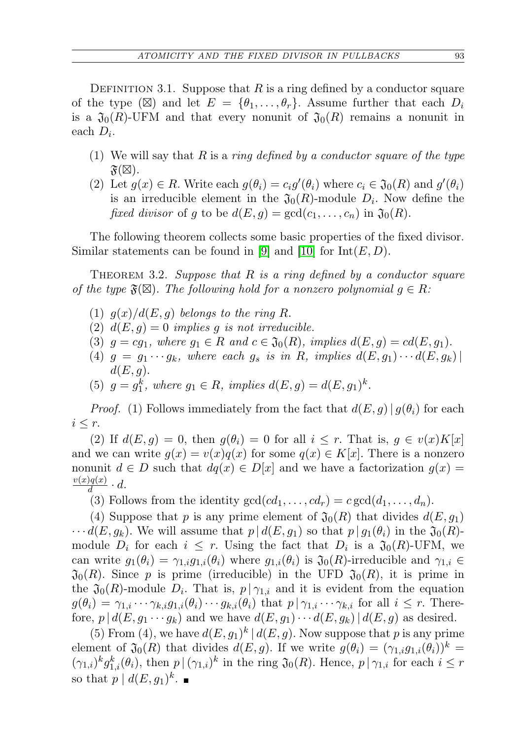DEFINITION 3.1. Suppose that R is a ring defined by a conductor square of the type  $(\boxtimes)$  and let  $E = {\theta_1, \ldots, \theta_r}$ . Assume further that each  $D_i$ is a  $\mathfrak{J}_0(R)$ -UFM and that every nonunit of  $\mathfrak{J}_0(R)$  remains a nonunit in each  $D_i$ .

- (1) We will say that R is a ring defined by a conductor square of the type  $\mathfrak{F}(\boxtimes)$ .
- (2) Let  $g(x) \in R$ . Write each  $g(\theta_i) = c_i g'(\theta_i)$  where  $c_i \in \mathfrak{J}_0(R)$  and  $g'(\theta_i)$ is an irreducible element in the  $\mathfrak{J}_0(R)$ -module  $D_i$ . Now define the fixed divisor of g to be  $d(E, g) = \gcd(c_1, \ldots, c_n)$  in  $\mathfrak{J}_0(R)$ .

The following theorem collects some basic properties of the fixed divisor. Similar statements can be found in [\[9\]](#page-10-0) and [\[10\]](#page-10-1) for  $Int(E, D)$ .

THEOREM 3.2. Suppose that  $R$  is a ring defined by a conductor square of the type  $\mathfrak{F}(\boxtimes)$ . The following hold for a nonzero polynomial  $g \in R$ .

- (1)  $g(x)/d(E, g)$  belongs to the ring R.
- (2)  $d(E, q) = 0$  implies q is not irreducible.
- (3)  $g = cg_1$ , where  $g_1 \in R$  and  $c \in \mathfrak{J}_0(R)$ , implies  $d(E, g) = cd(E, g_1)$ .
- (4)  $g = g_1 \cdots g_k$ , where each  $g_s$  is in R, implies  $d(E, g_1) \cdots d(E, g_k)$  $d(E, g)$ .
- (5)  $g = g_1^k$ , where  $g_1 \in R$ , implies  $d(E, g) = d(E, g_1)^k$ .

*Proof.* (1) Follows immediately from the fact that  $d(E, g) | g(\theta_i)$  for each  $i \leq r$ .

(2) If  $d(E, g) = 0$ , then  $g(\theta_i) = 0$  for all  $i \leq r$ . That is,  $g \in v(x)K[x]$ and we can write  $g(x) = v(x)g(x)$  for some  $g(x) \in K[x]$ . There is a nonzero nonunit  $d \in D$  such that  $dq(x) \in D[x]$  and we have a factorization  $g(x) =$  $v(x)q(x)$  $\frac{q(x)}{d} \cdot d.$ 

(3) Follows from the identity  $gcd(cd_1, \ldots, cd_r) = c \gcd(d_1, \ldots, d_n)$ .

(4) Suppose that p is any prime element of  $\mathfrak{J}_0(R)$  that divides  $d(E, g_1)$  $\cdots d(E, g_k)$ . We will assume that  $p | d(E, g_1)$  so that  $p | g_1(\theta_i)$  in the  $\mathfrak{J}_0(R)$ module  $D_i$  for each  $i \leq r$ . Using the fact that  $D_i$  is a  $\mathfrak{J}_0(R)$ -UFM, we can write  $g_1(\theta_i) = \gamma_{1,i}g_{1,i}(\theta_i)$  where  $g_{1,i}(\theta_i)$  is  $\mathfrak{J}_0(R)$ -irreducible and  $\gamma_{1,i} \in$  $\mathfrak{J}_0(R)$ . Since p is prime (irreducible) in the UFD  $\mathfrak{J}_0(R)$ , it is prime in the  $\mathfrak{J}_0(R)$ -module  $D_i$ . That is,  $p | \gamma_{1,i}$  and it is evident from the equation  $g(\theta_i) = \gamma_{1,i} \cdots \gamma_{k,i} g_{1,i}(\theta_i) \cdots g_{k,i}(\theta_i)$  that  $p | \gamma_{1,i} \cdots \gamma_{k,i}$  for all  $i \leq r$ . Therefore,  $p | d(E, g_1 \cdots g_k)$  and we have  $d(E, g_1) \cdots d(E, g_k) | d(E, g)$  as desired.

(5) From (4), we have  $d(E, g_1)^k | d(E, g)$ . Now suppose that p is any prime element of  $\mathfrak{J}_0(R)$  that divides  $d(E, g)$ . If we write  $g(\theta_i) = (\gamma_{1,i}g_{1,i}(\theta_i))^k$  $(\gamma_{1,i})^k g_{1,i}^k(\theta_i)$ , then  $p | (\gamma_{1,i})^k$  in the ring  $\mathfrak{J}_0(R)$ . Hence,  $p | \gamma_{1,i}$  for each  $i \leq r$ so that  $p \mid d(E, g_1)^k$ .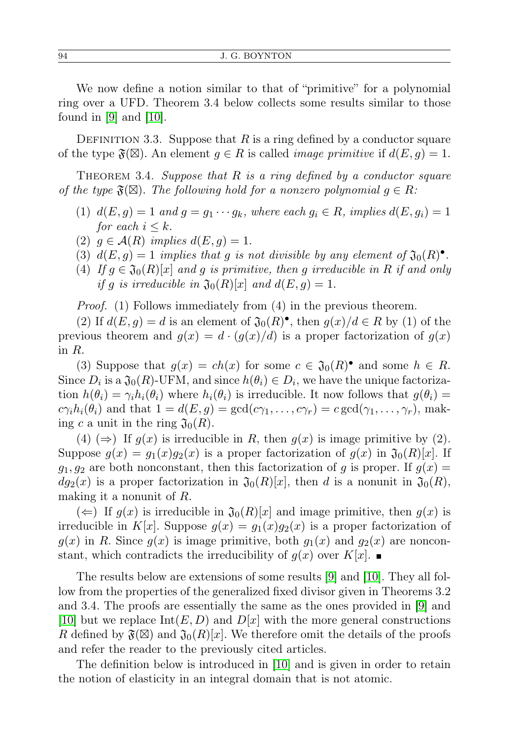We now define a notion similar to that of "primitive" for a polynomial ring over a UFD. Theorem 3.4 below collects some results similar to those found in [\[9\]](#page-10-0) and [\[10\]](#page-10-1).

DEFINITION 3.3. Suppose that R is a ring defined by a conductor square of the type  $\mathfrak{F}(\boxtimes)$ . An element  $g \in R$  is called *image primitive* if  $d(E, g) = 1$ .

THEOREM 3.4. Suppose that  $R$  is a ring defined by a conductor square of the type  $\mathfrak{F}(\boxtimes)$ . The following hold for a nonzero polynomial  $g \in R$ .

- (1)  $d(E, g) = 1$  and  $g = g_1 \cdots g_k$ , where each  $g_i \in R$ , implies  $d(E, g_i) = 1$ for each  $i \leq k$ .
- (2)  $q \in \mathcal{A}(R)$  implies  $d(E, q) = 1$ .
- (3)  $d(E, g) = 1$  implies that g is not divisible by any element of  $\mathfrak{J}_0(R)^{\bullet}$ .
- (4) If  $g \in \mathfrak{J}_0(R)[x]$  and g is primitive, then g irreducible in R if and only if g is irreducible in  $\mathfrak{J}_0(R)[x]$  and  $d(E, g) = 1$ .

Proof. (1) Follows immediately from (4) in the previous theorem.

(2) If  $d(E, g) = d$  is an element of  $\mathfrak{J}_0(R)^{\bullet}$ , then  $g(x)/d \in R$  by (1) of the previous theorem and  $g(x) = d \cdot (g(x)/d)$  is a proper factorization of  $g(x)$ in R.

(3) Suppose that  $g(x) = ch(x)$  for some  $c \in \mathfrak{J}_0(R)^{\bullet}$  and some  $h \in R$ . Since  $D_i$  is a  $\mathfrak{J}_0(R)$ -UFM, and since  $h(\theta_i) \in D_i$ , we have the unique factorization  $h(\theta_i) = \gamma_i h_i(\theta_i)$  where  $h_i(\theta_i)$  is irreducible. It now follows that  $g(\theta_i)$  $c\gamma_i h_i(\theta_i)$  and that  $1 = d(E, g) = \gcd(c\gamma_1, \ldots, c\gamma_r) = c \gcd(\gamma_1, \ldots, \gamma_r)$ , making c a unit in the ring  $\mathfrak{J}_0(R)$ .

(4)  $(\Rightarrow)$  If  $g(x)$  is irreducible in R, then  $g(x)$  is image primitive by (2). Suppose  $g(x) = g_1(x)g_2(x)$  is a proper factorization of  $g(x)$  in  $\mathfrak{J}_0(R)[x]$ . If  $g_1, g_2$  are both nonconstant, then this factorization of g is proper. If  $g(x) =$  $dg_2(x)$  is a proper factorization in  $\mathfrak{J}_0(R)[x]$ , then d is a nonunit in  $\mathfrak{J}_0(R)$ , making it a nonunit of R.

 $(\Leftarrow)$  If  $g(x)$  is irreducible in  $\mathfrak{J}_0(R)[x]$  and image primitive, then  $g(x)$  is irreducible in K[x]. Suppose  $g(x) = g_1(x)g_2(x)$  is a proper factorization of  $g(x)$  in R. Since  $g(x)$  is image primitive, both  $g_1(x)$  and  $g_2(x)$  are nonconstant, which contradicts the irreducibility of  $g(x)$  over  $K[x]$ .

The results below are extensions of some results [\[9\]](#page-10-0) and [\[10\]](#page-10-1). They all follow from the properties of the generalized fixed divisor given in Theorems 3.2 and 3.4. The proofs are essentially the same as the ones provided in [\[9\]](#page-10-0) and [\[10\]](#page-10-1) but we replace  $\text{Int}(E, D)$  and  $D[x]$  with the more general constructions R defined by  $\mathfrak{F}(\boxtimes)$  and  $\mathfrak{J}_0(R)[x]$ . We therefore omit the details of the proofs and refer the reader to the previously cited articles.

The definition below is introduced in [\[10\]](#page-10-1) and is given in order to retain the notion of elasticity in an integral domain that is not atomic.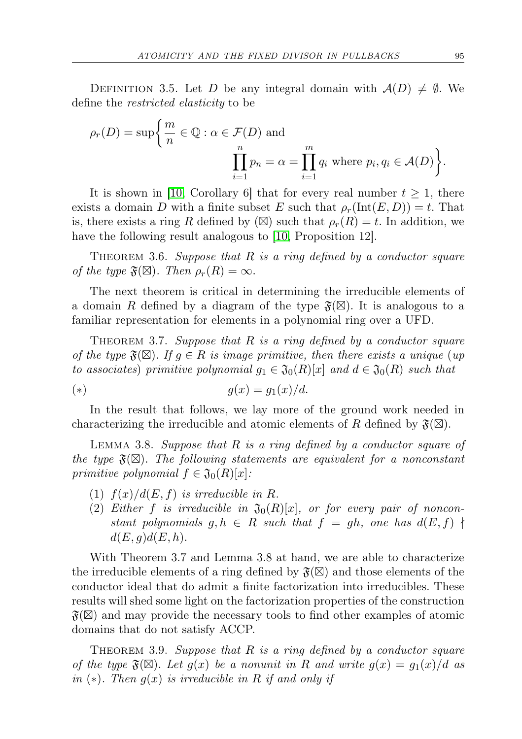DEFINITION 3.5. Let D be any integral domain with  $A(D) \neq \emptyset$ . We define the restricted elasticity to be

$$
\rho_r(D) = \sup \left\{ \frac{m}{n} \in \mathbb{Q} : \alpha \in \mathcal{F}(D) \text{ and } \prod_{i=1}^n p_i = \alpha = \prod_{i=1}^m q_i \text{ where } p_i, q_i \in \mathcal{A}(D) \right\}.
$$

It is shown in [\[10,](#page-10-1) Corollary 6] that for every real number  $t \geq 1$ , there exists a domain D with a finite subset E such that  $\rho_r(\text{Int}(E, D)) = t$ . That is, there exists a ring R defined by  $(\boxtimes)$  such that  $\rho_r(R) = t$ . In addition, we have the following result analogous to [\[10,](#page-10-1) Proposition 12].

THEOREM 3.6. Suppose that  $R$  is a ring defined by a conductor square of the type  $\mathfrak{F}(\boxtimes)$ . Then  $\rho_r(R) = \infty$ .

The next theorem is critical in determining the irreducible elements of a domain R defined by a diagram of the type  $\mathfrak{F}(\boxtimes)$ . It is analogous to a familiar representation for elements in a polynomial ring over a UFD.

THEOREM 3.7. Suppose that R is a ring defined by a conductor square of the type  $\mathfrak{F}(\boxtimes)$ . If  $g \in R$  is image primitive, then there exists a unique (up to associates) primitive polynomial  $g_1 \in \mathfrak{J}_0(R)[x]$  and  $d \in \mathfrak{J}_0(R)$  such that

$$
(*)\qquad \qquad g(x) = g_1(x)/d.
$$

In the result that follows, we lay more of the ground work needed in characterizing the irreducible and atomic elements of R defined by  $\mathfrak{F}(\mathbb{Z})$ .

LEMMA 3.8. Suppose that  $R$  is a ring defined by a conductor square of the type  $\mathfrak{F}(\boxtimes)$ . The following statements are equivalent for a nonconstant primitive polynomial  $f \in \mathfrak{J}_0(R)[x]$ :

- (1)  $f(x)/d(E, f)$  is irreducible in R.
- (2) Either f is irreducible in  $\mathfrak{J}_0(R)[x]$ , or for every pair of nonconstant polynomials  $g, h \in R$  such that  $f = gh$ , one has  $d(E, f)$   $\dagger$  $d(E, g)d(E, h).$

With Theorem 3.7 and Lemma 3.8 at hand, we are able to characterize the irreducible elements of a ring defined by  $\mathfrak{F}(\boxtimes)$  and those elements of the conductor ideal that do admit a finite factorization into irreducibles. These results will shed some light on the factorization properties of the construction  $\mathfrak{F}(\boxtimes)$  and may provide the necessary tools to find other examples of atomic domains that do not satisfy ACCP.

THEOREM 3.9. Suppose that  $R$  is a ring defined by a conductor square of the type  $\mathfrak{F}(\boxtimes)$ . Let  $g(x)$  be a nonunit in R and write  $g(x) = g_1(x)/d$  as in ( $\ast$ ). Then  $q(x)$  is irreducible in R if and only if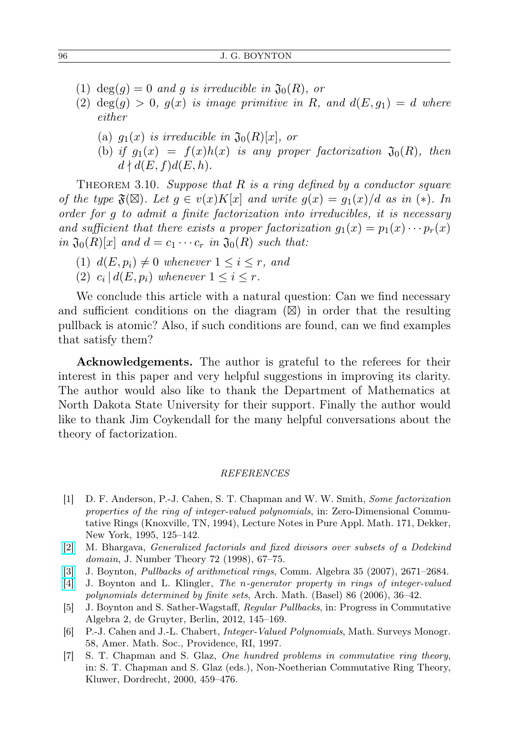- (1) deg(q) = 0 and q is irreducible in  $\mathfrak{J}_0(R)$ , or
- (2)  $deg(g) > 0$ ,  $g(x)$  is image primitive in R, and  $d(E, g_1) = d$  where either
	- (a)  $g_1(x)$  is irreducible in  $\mathfrak{J}_0(R)[x]$ , or
	- (b) if  $g_1(x) = f(x)h(x)$  is any proper factorization  $\mathfrak{J}_0(R)$ , then  $d \nmid d(E, f)d(E, h).$

THEOREM 3.10. Suppose that R is a ring defined by a conductor square of the type  $\mathfrak{F}(\boxtimes)$ . Let  $g \in v(x)K[x]$  and write  $g(x) = g_1(x)/d$  as in (\*). In order for g to admit a finite factorization into irreducibles, it is necessary and sufficient that there exists a proper factorization  $g_1(x) = p_1(x) \cdots p_r(x)$ in  $\mathfrak{J}_0(R)[x]$  and  $d = c_1 \cdots c_r$  in  $\mathfrak{J}_0(R)$  such that:

- (1)  $d(E, p_i) \neq 0$  whenever  $1 \leq i \leq r$ , and
- (2)  $c_i | d(E, p_i)$  whenever  $1 \leq i \leq r$ .

We conclude this article with a natural question: Can we find necessary and sufficient conditions on the diagram  $(\boxtimes)$  in order that the resulting pullback is atomic? Also, if such conditions are found, can we find examples that satisfy them?

Acknowledgements. The author is grateful to the referees for their interest in this paper and very helpful suggestions in improving its clarity. The author would also like to thank the Department of Mathematics at North Dakota State University for their support. Finally the author would like to thank Jim Coykendall for the many helpful conversations about the theory of factorization.

## REFERENCES

- <span id="page-9-0"></span>[1] D. F. Anderson, P.-J. Cahen, S. T. Chapman and W. W. Smith, Some factorization properties of the ring of integer-valued polynomials, in: Zero-Dimensional Commutative Rings (Knoxville, TN, 1994), Lecture Notes in Pure Appl. Math. 171, Dekker, New York, 1995, 125–142.
- <span id="page-9-6"></span>[\[2\]](http://dx.doi.org/10.1006/jnth.1998.2220) M. Bhargava, Generalized factorials and fixed divisors over subsets of a Dedekind domain, J. Number Theory 72 (1998), 67–75.
- <span id="page-9-1"></span>[\[3\]](http://dx.doi.org/10.1080/00927870701351294) J. Boynton, Pullbacks of arithmetical rings, Comm. Algebra 35 (2007), 2671–2684.
- <span id="page-9-3"></span>[\[4\]](http://dx.doi.org/10.1007/s00013-005-1225-1) J. Boynton and L. Klingler, The n-generator property in rings of integer-valued polynomials determined by finite sets, Arch. Math. (Basel) 86 (2006), 36–42.
- <span id="page-9-4"></span>[5] J. Boynton and S. Sather-Wagstaff, Regular Pullbacks, in: Progress in Commutative Algebra 2, de Gruyter, Berlin, 2012, 145–169.
- <span id="page-9-2"></span>[6] P.-J. Cahen and J.-L. Chabert, Integer-Valued Polynomials, Math. Surveys Monogr. 58, Amer. Math. Soc., Providence, RI, 1997.
- <span id="page-9-5"></span>[7] S. T. Chapman and S. Glaz, One hundred problems in commutative ring theory, in: S. T. Chapman and S. Glaz (eds.), Non-Noetherian Commutative Ring Theory, Kluwer, Dordrecht, 2000, 459–476.